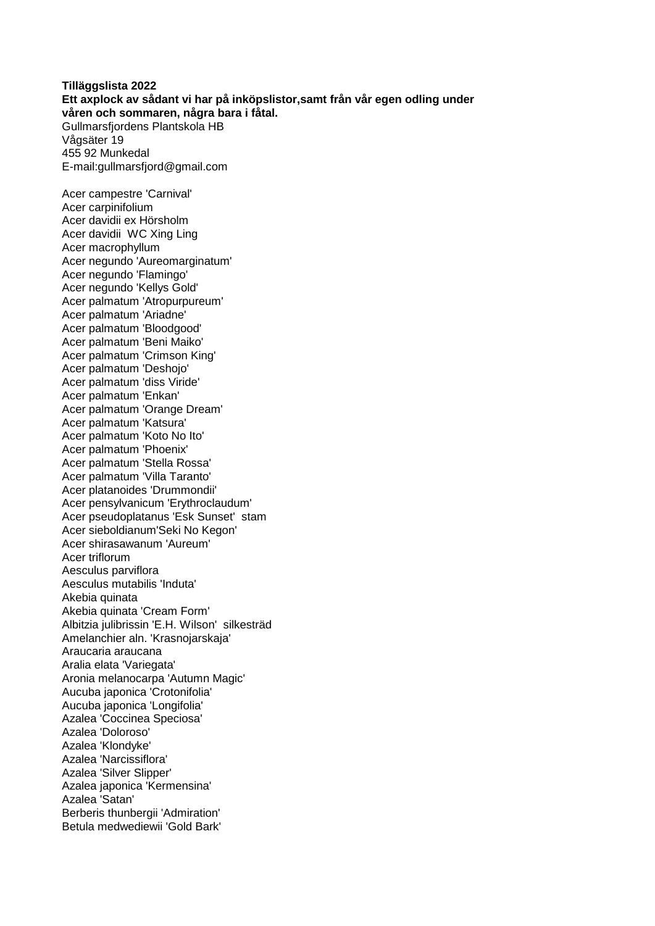**Tilläggslista 2022 Ett axplock av sådant vi har på inköpslistor,samt från vår egen odling under våren och sommaren, några bara i fåtal.** Gullmarsfjordens Plantskola HB Vågsäter 19 455 92 Munkedal E-mail:gullmarsfjord@gmail.com Acer campestre 'Carnival' Acer carpinifolium Acer davidii ex Hörsholm Acer davidii WC Xing Ling Acer macrophyllum Acer negundo 'Aureomarginatum' Acer negundo 'Flamingo' Acer negundo 'Kellys Gold' Acer palmatum 'Atropurpureum' Acer palmatum 'Ariadne' Acer palmatum 'Bloodgood' Acer palmatum 'Beni Maiko' Acer palmatum 'Crimson King' Acer palmatum 'Deshojo' Acer palmatum 'diss Viride' Acer palmatum 'Enkan' Acer palmatum 'Orange Dream' Acer palmatum 'Katsura' Acer palmatum 'Koto No Ito' Acer palmatum 'Phoenix' Acer palmatum 'Stella Rossa' Acer palmatum 'Villa Taranto' Acer platanoides 'Drummondii' Acer pensylvanicum 'Erythroclaudum' Acer pseudoplatanus 'Esk Sunset' stam Acer sieboldianum'Seki No Kegon' Acer shirasawanum 'Aureum' Acer triflorum Aesculus parviflora Aesculus mutabilis 'Induta' Akebia quinata Akebia quinata 'Cream Form' Albitzia julibrissin 'E.H. Wilson' silkesträd Amelanchier aln. 'Krasnojarskaja' Araucaria araucana Aralia elata 'Variegata' Aronia melanocarpa 'Autumn Magic' Aucuba japonica 'Crotonifolia' Aucuba japonica 'Longifolia' Azalea 'Coccinea Speciosa' Azalea 'Doloroso' Azalea 'Klondyke' Azalea 'Narcissiflora' Azalea 'Silver Slipper' Azalea japonica 'Kermensina' Azalea 'Satan' Berberis thunbergii 'Admiration' Betula medwediewii 'Gold Bark'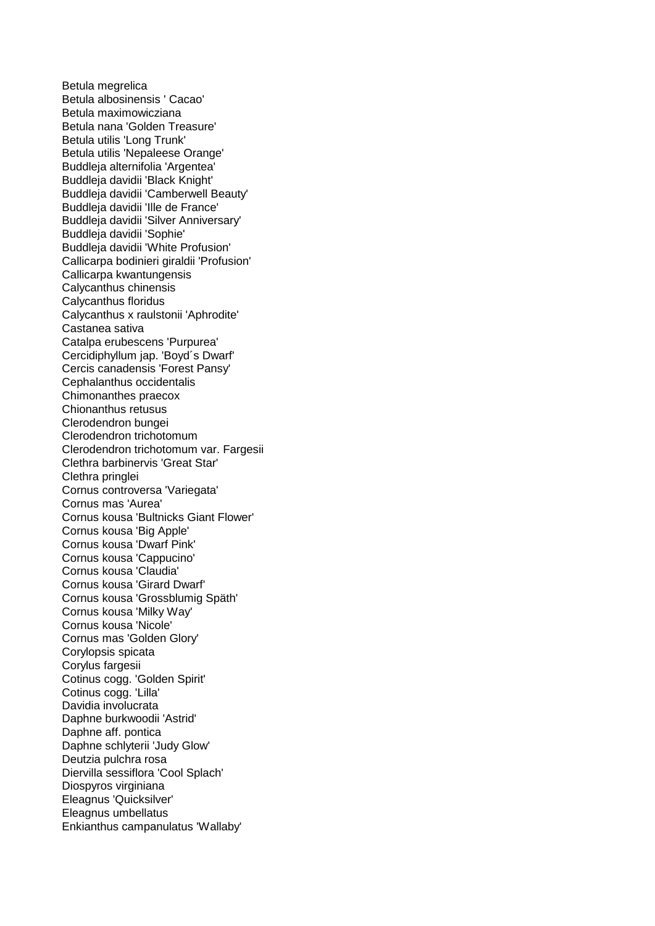Betula megrelica Betula albosinensis ' Cacao' Betula maximowicziana Betula nana 'Golden Treasure' Betula utilis 'Long Trunk' Betula utilis 'Nepaleese Orange' Buddleja alternifolia 'Argentea' Buddleja davidii 'Black Knight' Buddleja davidii 'Camberwell Beauty' Buddleja davidii 'Ille de France' Buddleja davidii 'Silver Anniversary' Buddleja davidii 'Sophie' Buddleja davidii 'White Profusion' Callicarpa bodinieri giraldii 'Profusion' Callicarpa kwantungensis Calycanthus chinensis Calycanthus floridus Calycanthus x raulstonii 'Aphrodite' Castanea sativa Catalpa erubescens 'Purpurea' Cercidiphyllum jap. 'Boyd´s Dwarf' Cercis canadensis 'Forest Pansy' Cephalanthus occidentalis Chimonanthes praecox Chionanthus retusus Clerodendron bungei Clerodendron trichotomum Clerodendron trichotomum var. Fargesii Clethra barbinervis 'Great Star' Clethra pringlei Cornus controversa 'Variegata' Cornus mas 'Aurea' Cornus kousa 'Bultnicks Giant Flower' Cornus kousa 'Big Apple' Cornus kousa 'Dwarf Pink' Cornus kousa 'Cappucino' Cornus kousa 'Claudia' Cornus kousa 'Girard Dwarf' Cornus kousa 'Grossblumig Späth' Cornus kousa 'Milky Way' Cornus kousa 'Nicole' Cornus mas 'Golden Glory' Corylopsis spicata Corylus fargesii Cotinus cogg. 'Golden Spirit' Cotinus cogg. 'Lilla' Davidia involucrata Daphne burkwoodii 'Astrid' Daphne aff. pontica Daphne schlyterii 'Judy Glow' Deutzia pulchra rosa Diervilla sessiflora 'Cool Splach' Diospyros virginiana Eleagnus 'Quicksilver' Eleagnus umbellatus Enkianthus campanulatus 'Wallaby'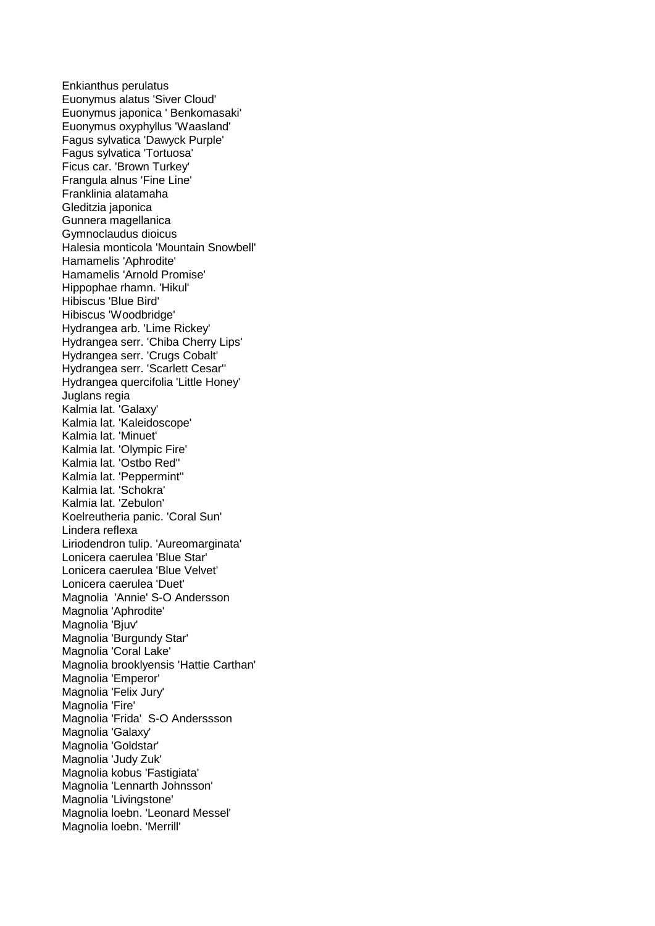Enkianthus perulatus Euonymus alatus 'Siver Cloud' Euonymus japonica ' Benkomasaki' Euonymus oxyphyllus 'Waasland' Fagus sylvatica 'Dawyck Purple' Fagus sylvatica 'Tortuosa' Ficus car. 'Brown Turkey' Frangula alnus 'Fine Line' Franklinia alatamaha Gleditzia japonica Gunnera magellanica Gymnoclaudus dioicus Halesia monticola 'Mountain Snowbell' Hamamelis 'Aphrodite' Hamamelis 'Arnold Promise' Hippophae rhamn. 'Hikul' Hibiscus 'Blue Bird' Hibiscus 'Woodbridge' Hydrangea arb. 'Lime Rickey' Hydrangea serr. 'Chiba Cherry Lips' Hydrangea serr. 'Crugs Cobalt' Hydrangea serr. 'Scarlett Cesar'' Hydrangea quercifolia 'Little Honey' Juglans regia Kalmia lat. 'Galaxy' Kalmia lat. 'Kaleidoscope' Kalmia lat. 'Minuet' Kalmia lat. 'Olympic Fire' Kalmia lat. 'Ostbo Red'' Kalmia lat. 'Peppermint'' Kalmia lat. 'Schokra' Kalmia lat. 'Zebulon' Koelreutheria panic. 'Coral Sun' Lindera reflexa Liriodendron tulip. 'Aureomarginata' Lonicera caerulea 'Blue Star' Lonicera caerulea 'Blue Velvet' Lonicera caerulea 'Duet' Magnolia 'Annie' S-O Andersson Magnolia 'Aphrodite' Magnolia 'Bjuv' Magnolia 'Burgundy Star' Magnolia 'Coral Lake' Magnolia brooklyensis 'Hattie Carthan' Magnolia 'Emperor' Magnolia 'Felix Jury' Magnolia 'Fire' Magnolia 'Frida' S-O Anderssson Magnolia 'Galaxy' Magnolia 'Goldstar' Magnolia 'Judy Zuk' Magnolia kobus 'Fastigiata' Magnolia 'Lennarth Johnsson' Magnolia 'Livingstone' Magnolia loebn. 'Leonard Messel' Magnolia loebn. 'Merrill'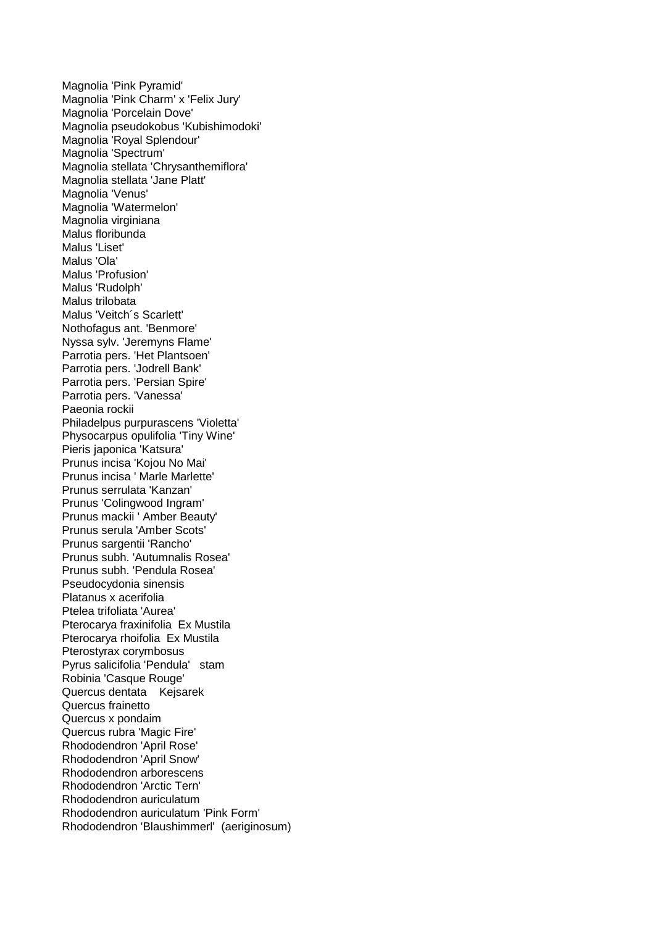Magnolia 'Pink Pyramid' Magnolia 'Pink Charm' x 'Felix Jury' Magnolia 'Porcelain Dove' Magnolia pseudokobus 'Kubishimodoki' Magnolia 'Royal Splendour' Magnolia 'Spectrum' Magnolia stellata 'Chrysanthemiflora' Magnolia stellata 'Jane Platt' Magnolia 'Venus' Magnolia 'Watermelon' Magnolia virginiana Malus floribunda Malus 'Liset' Malus 'Ola' Malus 'Profusion' Malus 'Rudolph' Malus trilobata Malus 'Veitch´s Scarlett' Nothofagus ant. 'Benmore' Nyssa sylv. 'Jeremyns Flame' Parrotia pers. 'Het Plantsoen' Parrotia pers. 'Jodrell Bank' Parrotia pers. 'Persian Spire' Parrotia pers. 'Vanessa' Paeonia rockii Philadelpus purpurascens 'Violetta' Physocarpus opulifolia 'Tiny Wine' Pieris japonica 'Katsura' Prunus incisa 'Kojou No Mai' Prunus incisa ' Marle Marlette' Prunus serrulata 'Kanzan' Prunus 'Colingwood Ingram' Prunus mackii ' Amber Beauty' Prunus serula 'Amber Scots' Prunus sargentii 'Rancho' Prunus subh. 'Autumnalis Rosea' Prunus subh. 'Pendula Rosea' Pseudocydonia sinensis Platanus x acerifolia Ptelea trifoliata 'Aurea' Pterocarya fraxinifolia Ex Mustila Pterocarya rhoifolia Ex Mustila Pterostyrax corymbosus Pyrus salicifolia 'Pendula' stam Robinia 'Casque Rouge' Quercus dentata Kejsarek Quercus frainetto Quercus x pondaim Quercus rubra 'Magic Fire' Rhododendron 'April Rose' Rhododendron 'April Snow' Rhododendron arborescens Rhododendron 'Arctic Tern' Rhododendron auriculatum Rhododendron auriculatum 'Pink Form' Rhododendron 'Blaushimmerl' (aeriginosum)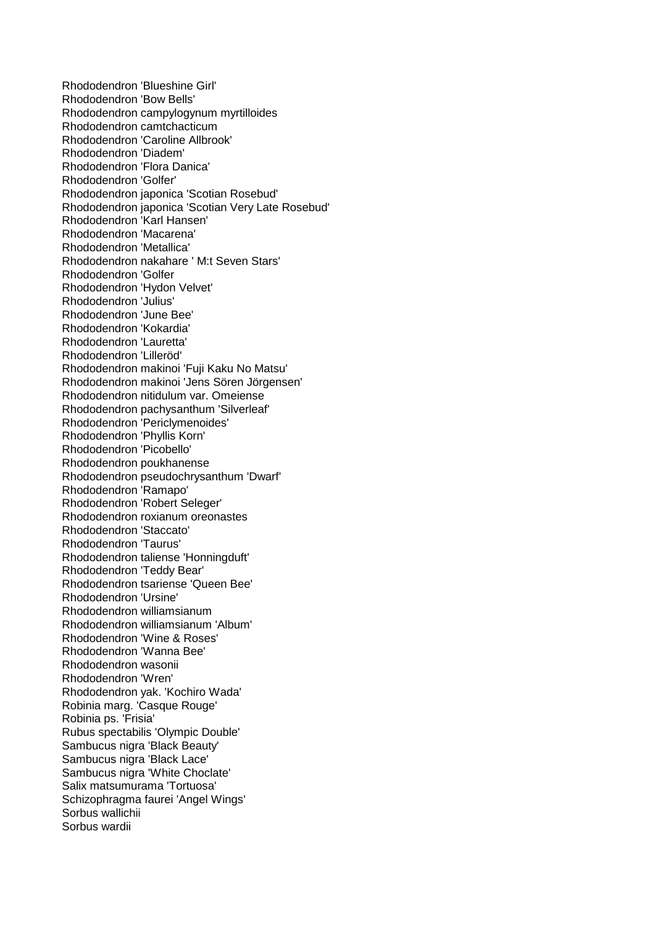Rhododendron 'Blueshine Girl' Rhododendron 'Bow Bells' Rhododendron campylogynum myrtilloides Rhododendron camtchacticum Rhododendron 'Caroline Allbrook' Rhododendron 'Diadem' Rhododendron 'Flora Danica' Rhododendron 'Golfer' Rhododendron japonica 'Scotian Rosebud' Rhododendron japonica 'Scotian Very Late Rosebud' Rhododendron 'Karl Hansen' Rhododendron 'Macarena' Rhododendron 'Metallica' Rhododendron nakahare ' M:t Seven Stars' Rhododendron 'Golfer Rhododendron 'Hydon Velvet' Rhododendron 'Julius' Rhododendron 'June Bee' Rhododendron 'Kokardia' Rhododendron 'Lauretta' Rhododendron 'Lilleröd' Rhododendron makinoi 'Fuji Kaku No Matsu' Rhododendron makinoi 'Jens Sören Jörgensen' Rhododendron nitidulum var. Omeiense Rhododendron pachysanthum 'Silverleaf' Rhododendron 'Periclymenoides' Rhododendron 'Phyllis Korn' Rhododendron 'Picobello' Rhododendron poukhanense Rhododendron pseudochrysanthum 'Dwarf' Rhododendron 'Ramapo' Rhododendron 'Robert Seleger' Rhododendron roxianum oreonastes Rhododendron 'Staccato' Rhododendron 'Taurus' Rhododendron taliense 'Honningduft' Rhododendron 'Teddy Bear' Rhododendron tsariense 'Queen Bee' Rhododendron 'Ursine' Rhododendron williamsianum Rhododendron williamsianum 'Album' Rhododendron 'Wine & Roses' Rhododendron 'Wanna Bee' Rhododendron wasonii Rhododendron 'Wren' Rhododendron yak. 'Kochiro Wada' Robinia marg. 'Casque Rouge' Robinia ps. 'Frisia' Rubus spectabilis 'Olympic Double' Sambucus nigra 'Black Beauty' Sambucus nigra 'Black Lace' Sambucus nigra 'White Choclate' Salix matsumurama 'Tortuosa' Schizophragma faurei 'Angel Wings' Sorbus wallichii Sorbus wardii